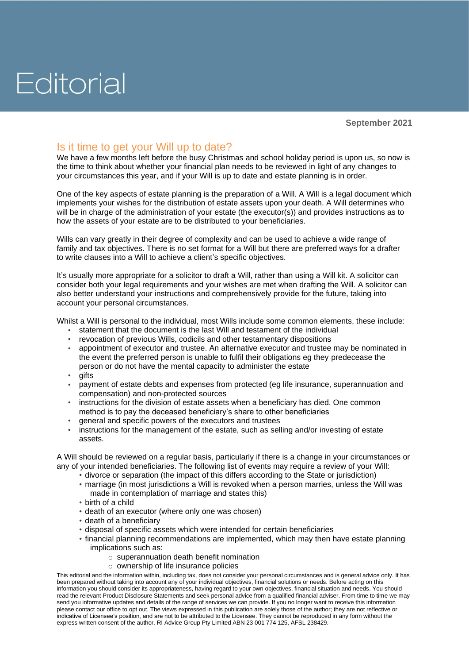## Editorial

## Is it time to get your Will up to date?

We have a few months left before the busy Christmas and school holiday period is upon us, so now is the time to think about whether your financial plan needs to be reviewed in light of any changes to your circumstances this year, and if your Will is up to date and estate planning is in order.

One of the key aspects of estate planning is the preparation of a Will. A Will is a legal document which implements your wishes for the distribution of estate assets upon your death. A Will determines who will be in charge of the administration of your estate (the executor(s)) and provides instructions as to how the assets of your estate are to be distributed to your beneficiaries.

Wills can vary greatly in their degree of complexity and can be used to achieve a wide range of family and tax objectives. There is no set format for a Will but there are preferred ways for a drafter to write clauses into a Will to achieve a client's specific objectives.

It's usually more appropriate for a solicitor to draft a Will, rather than using a Will kit. A solicitor can consider both your legal requirements and your wishes are met when drafting the Will. A solicitor can also better understand your instructions and comprehensively provide for the future, taking into account your personal circumstances.

Whilst a Will is personal to the individual, most Wills include some common elements, these include:

- statement that the document is the last Will and testament of the individual
- revocation of previous Wills, codicils and other testamentary dispositions
- appointment of executor and trustee. An alternative executor and trustee may be nominated in the event the preferred person is unable to fulfil their obligations eg they predecease the person or do not have the mental capacity to administer the estate
- gifts
- payment of estate debts and expenses from protected (eg life insurance, superannuation and compensation) and non-protected sources
- instructions for the division of estate assets when a beneficiary has died. One common method is to pay the deceased beneficiary's share to other beneficiaries
- general and specific powers of the executors and trustees
- instructions for the management of the estate, such as selling and/or investing of estate assets.

A Will should be reviewed on a regular basis, particularly if there is a change in your circumstances or any of your intended beneficiaries. The following list of events may require a review of your Will:

- divorce or separation (the impact of this differs according to the State or jurisdiction)
- marriage (in most jurisdictions a Will is revoked when a person marries, unless the Will was made in contemplation of marriage and states this)
- birth of a child
- death of an executor (where only one was chosen)
- death of a beneficiary
- disposal of specific assets which were intended for certain beneficiaries
- financial planning recommendations are implemented, which may then have estate planning implications such as:
	- o superannuation death benefit nomination
	- o ownership of life insurance policies

This editorial and the information within, including tax, does not consider your personal circumstances and is general advice only. It has been prepared without taking into account any of your individual objectives, financial solutions or needs. Before acting on this information you should consider its appropriateness, having regard to your own objectives, financial situation and needs. You should read the relevant Product Disclosure Statements and seek personal advice from a qualified financial adviser. From time to time we may send you informative updates and details of the range of services we can provide. If you no longer want to receive this information please contact our office to opt out. The views expressed in this publication are solely those of the author; they are not reflective or indicative of Licensee's position, and are not to be attributed to the Licensee. They cannot be reproduced in any form without the express written consent of the author. RI Advice Group Pty Limited ABN 23 001 774 125, AFSL 238429.